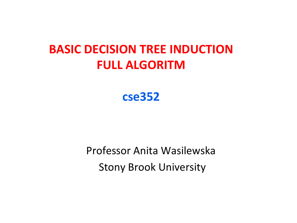## **BASIC DECISION TREE INDUCTION FULL ALGORITM**

#### **cse352**

Professor Anita Wasilewska **Stony Brook University**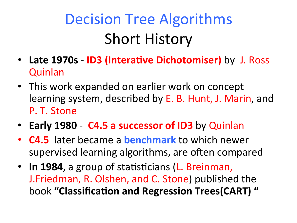# Decision Tree Algorithms **Short History**

- Late 1970s ID3 (Interative Dichotomiser) by J. Ross **Quinlan**
- This work expanded on earlier work on concept learning system, described by E. B. Hunt, J. Marin, and P. T. Stone
- Early 1980 C4.5 a successor of ID3 by Quinlan
- **C4.5** later became a **benchmark** to which newer supervised learning algorithms, are often compared
- In 1984, a group of statisticians (L. Breinman, J.Friedman, R. Olshen, and C. Stone) published the book "Classification and Regression Trees(CART)"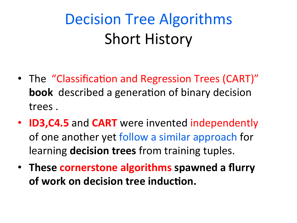# Decision Tree Algorithms **Short History**

- The "Classification and Regression Trees (CART)" **book** described a generation of binary decision trees.
- **ID3, C4.5** and **CART** were invented independently of one another yet follow a similar approach for **learning decision trees** from training tuples.
- These **cornerstone algorithms** spawned a flurry of work on decision tree induction.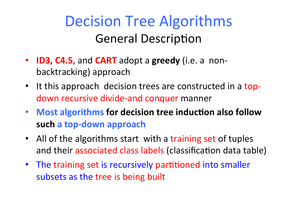- **ID3, C4.5**, and **CART** adopt a greedy (i.e. a nonbacktracking) approach
- It this approach decision trees are constructed in a topdown recursive divide-and conquer manner
- Most algorithms for decision tree induction also follow such a top-down approach
- All of the algorithms start with a training set of tuples and their associated class labels (classification data table)
- The training set is recursively partitioned into smaller subsets as the tree is being built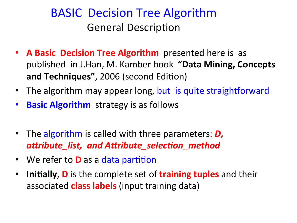- **A Basic Decision Tree Algorithm** presented here is as published in J.Han, M. Kamber book **"Data Mining, Concepts and Techniques", 2006 (second Edition)**
- The algorithm may appear long, but is quite straightforward
- **Basic Algorithm** strategy is as follows
- The algorithm is called with three parameters: **D**, *a%ribute\_list, and A%ribute\_selec3on\_method*
- We refer to **D** as a data partition
- **Initially, D** is the complete set of **training tuples** and their associated **class labels** (input training data)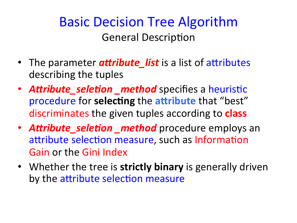- The parameter **attribute\_list** is a list of attributes describing the tuples
- **Attribute\_seletion \_method** specifies a heuristic procedure for selecting the attribute that "best" discriminates the given tuples according to **class**
- **Attribute\_seletion \_method** procedure employs an attribute selection measure, such as Information Gain or the Gini Index
- Whether the tree is strictly binary is generally driven by the attribute selection measure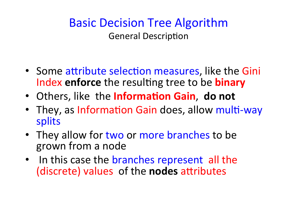- Some attribute selection measures, like the Gini Index enforce the resulting tree to be **binary**
- Others, like the **Information Gain**, do not
- They, as Information Gain does, allow multi-way splits
- They allow for two or more branches to be grown from a node
- In this case the branches represent all the (discrete) values of the **nodes** attributes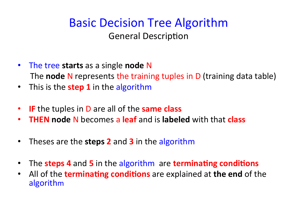- The tree starts as a single **node** N The **node** N represents the training tuples in D (training data table)
- This is the **step 1** in the algorithm
- **IF** the tuples in D are all of the **same class**
- **THEN node N** becomes a **leaf** and is **labeled** with that **class**
- Theses are the **steps 2** and **3** in the algorithm
- The **steps 4** and 5 in the algorithm are **terminating conditions**
- All of the **terminating conditions** are explained at **the end** of the algorithm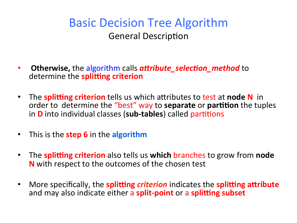- **Otherwise,** the algorithm calls **attribute\_selection\_method** to determine the **splitting criterion**
- The **splitting criterion** tells us which attributes to test at node N in order to determine the "best" way to separate or partition the tuples in **D** into individual classes (sub-tables) called partitions
- **•** This is the **step 6** in the **algorithm**
- The **splitting criterion** also tells us **which** branches to grow from **node N** with respect to the outcomes of the chosen test
- More specifically, the **splitting** *criterion* indicates the **splitting attribute** and may also indicate either a **split-point** or a **splitting subset**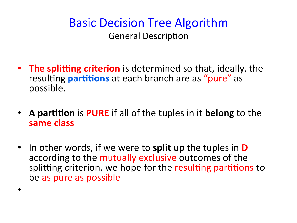- **The splitting criterion** is determined so that, ideally, the resulting **partitions** at each branch are as "pure" as possible.
- A partition is PURE if all of the tuples in it belong to the same class
- In other words, if we were to **split up** the tuples in **D** according to the mutually exclusive outcomes of the splitting criterion, we hope for the resulting partitions to be as pure as possible

•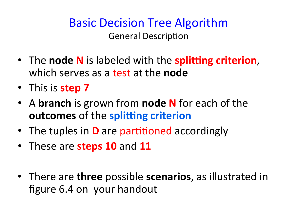- The node N is labeled with the splitting criterion, which serves as a test at the **node**
- This is **step 7**
- A **branch** is grown from **node N** for each of the **outcomes** of the **splitting criterion**
- The tuples in **D** are partitioned accordingly
- These are **steps 10** and 11
- There are **three** possible **scenarios**, as illustrated in figure 6.4 on your handout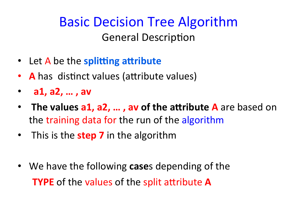- Let A be the **splitting attribute**
- **A** has distinct values (attribute values)
- **a1, a2, ..., av**
- The values a1, a2, ..., av of the attribute A are based on the training data for the run of the algorithm
- This is the **step 7** in the algorithm
- We have the following **case**s depending of the **TYPE** of the values of the split attribute **A**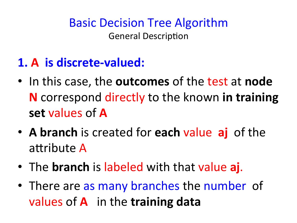## **1.** A is discrete-valued:

- In this case, the **outcomes** of the test at **node N** correspond directly to the known in training set values of **A**
- A branch is created for each value aj of the attribute A
- The **branch** is labeled with that value aj.
- There are as many branches the number of values of **A** in the training data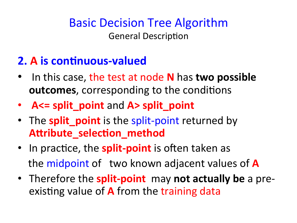### **2. A is continuous-valued**

- In this case, the test at node **N** has **two possible outcomes**, corresponding to the conditions
- **A<= split\_point** and **A> split\_point**
- The **split\_point** is the split-point returned by Attribute\_selection\_method
- In practice, the **split-point** is often taken as the midpoint of two known adjacent values of **A**
- Therefore the **split-point** may not actually be a preexisting value of **A** from the training data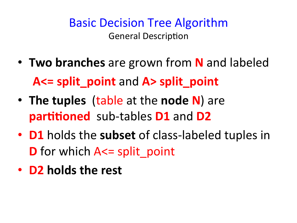- **Two branches** are grown from **N** and labeled **A<= split\_point** and **A> split\_point**
- The tuples (table at the node N) are **partitioned** sub-tables **D1** and **D2**
- **D1** holds the subset of class-labeled tuples in **D** for which A <= split point
- **D2** holds the rest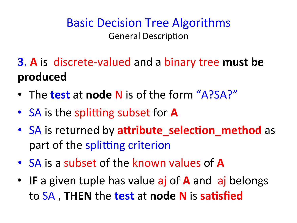- **3**. A is discrete-valued and a binary tree must be **produced**
- The **test** at **node** N is of the form "A?SA?"
- SA is the splitting subset for **A**
- SA is returned by **attribute\_selection method** as part of the splitting criterion
- SA is a subset of the known values of A
- IF a given tuple has value aj of **A** and aj belongs to SA, THEN the **test** at **node N** is satisfied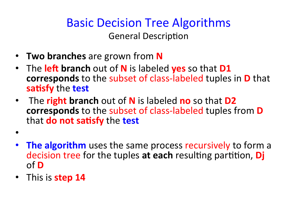## **Basic Decision Tree Algorithms**

**General Description** 

- **Two branches** are grown from **N**
- The **left branch** out of **N** is labeled **yes** so that **D1 corresponds** to the subset of class-labeled tuples in **D** that **satisfy** the **test**
- The **right branch** out of **N** is labeled **no** so that **D2 corresponds** to the subset of class-labeled tuples from **D that do not satisfy** the **test**
- 
- **The algorithm** uses the same process recursively to form a decision tree for the tuples at each resulting partition, *Dj* of *D*
- This is **step 14**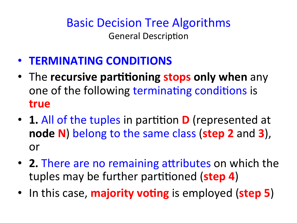- **TERMINATING CONDITIONS**
- The **recursive partitioning stops only when** any one of the following terminating conditions is **true**
- 1. All of the tuples in partition **D** (represented at **node N**) belong to the same class (**step 2** and **3**), or
- 2. There are no remaining attributes on which the tuples may be further partitioned (step 4)
- In this case, **majority voting** is employed (**step 5**)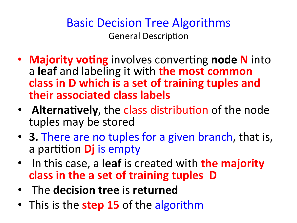- **Majority voting** involves converting **node N** into a leaf and labeling it with the most common class in D which is a set of training tuples and **their associated class labels**
- **Alternatively**, the class distribution of the node tuples may be stored
- **3.** There are no tuples for a given branch, that is, a partition **Dj** is empty
- In this case, a leaf is created with **the majority** class in the a set of training tuples D
- The **decision tree** is returned
- This is the **step 15** of the algorithm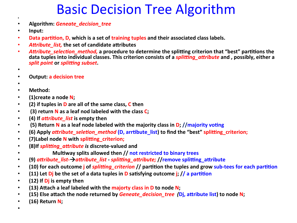## **Basic Decision Tree Algorithm**

- **Algorithm:** *Geneate\_decision\_tree*
- **Input:**

• 

- Data partition, D, which is a set of training tuples and their associated class labels.
- Attribute list, the set of candidate attributes
- Attribute selection method, a procedure to determine the splitting criterion that "best" partitions the data tuples into individual classes. This criterion consists of a *splitting attribute* and , possibly, either a *split point* or *splitting subset*.
- 
- **•** Output: a decision tree
- 
- **Method:**
- (1)create a node N;
- (2) if tuples in **D** are all of the same class, C then
- (3) return N as a leaf nod labeled with the class C;
- (4) If *attribute list* is empty then
- (5) Return N as a leaf node labeled with the majority class in D; //majority voting
- (6) Apply *attribute\_seletion\_method* (D, arrtibute list) to find the "best" splitting criterion;
- **•** (7) Label node N with splitting criterion;
- (8) If *splitting attribute is* discrete-valued and
- *Multiway splits allowed then // not restricted to binary trees*
- (9) attribute list- $\rightarrow$ attribute list splitting attribute; //remove splitting attribute
- (10) for each outcome *j* of *splitting\_criterion* // partition the tuples and grow sub-tees for each partition
- (11) Let **D**j be the set of a data tuples in **D** satisfying outcome *i*; // a partition
- $\cdot$  (12) If  $\overline{D}$  is empty then
- (13) Attach a leaf labeled with the majorty class in D to node N;
- (15) Else attach the node returned by *Geneate decision tree* (*D*j, attribute list) to node N;
- (16) Return N;
- 
-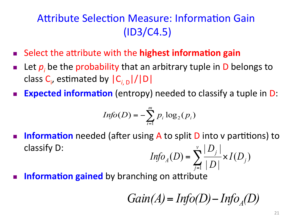#### Attribute Selection Measure: Information Gain (ID3/C4.5)

- **n** Select the attribute with the **highest information gain**
- **n** Let  $p_i$  be the probability that an arbitrary tuple in D belongs to class C<sub>i</sub>, estimated by  $|C_{i, D}|/|D|$
- **Expected information** (entropy) needed to classify a tuple in D:

$$
Info(D) = -\sum_{i=1}^{m} p_i \log_2(p_i)
$$

- **n Information** needed (after using A to split D into v partitions) to classify D:  $\frac{1}{|D|}$   $\times$   $I(D_j)$  $(D) = \sum_{i=1}^{v} \frac{|D_i|}{|D_i|}$ *j v*  $I_A(D) = \sum_{i=1}^{\lfloor D \rfloor} \times I(D)$ *D D*  $\text{Info}_A(D) = \sum_{j=1}^{\infty} \frac{1}{|D|} \times$
- **Information gained** by branching on attribute

$$
Gain(A) = Info(D) - Info_A(D)
$$

1

*j*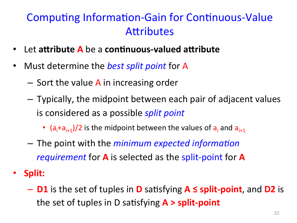### Computing Information-Gain for Continuous-Value **Attributes**

- Let attribute A be a continuous-valued attribute
- Must determine the *best split point* for A
	- $-$  Sort the value A in increasing order
	- $-$  Typically, the midpoint between each pair of adjacent values is considered as a possible *split point* 
		- $(a_i+a_{i+1})/2$  is the midpoint between the values of  $a_i$  and  $a_{i+1}$
	- $-$  The point with the *minimum expected information requirement* for **A** is selected as the split-point for **A**
- **Split:** 
	- $-$  **D1** is the set of tuples in **D** satisfying **A** ≤ split-point, and **D2** is the set of tuples in D satisfying **A > split-point**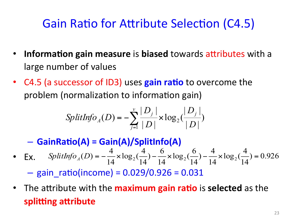## Gain Ratio for Attribute Selection (C4.5)

- Information gain measure is biased towards attributes with a large number of values
- C4.5 (a successor of ID3) uses **gain ratio** to overcome the problem (normalization to information gain)

$$
SplitInfo_{A}(D) = -\sum_{j=1}^{v} \frac{|D_{j}|}{|D|} \times log_{2}(\frac{|D_{j}|}{|D|})
$$

- $-$  GainRatio(A) = Gain(A)/SplitInfo(A)
- Ex.  $SplitInfo_A(D) = -\frac{1}{14} \times log_2(\frac{1}{14}) \frac{0}{14} \times log_2(\frac{0}{14}) \frac{1}{14} \times log_2(\frac{1}{14}) = 0.926$  $SplitInfo_A(D) = -\frac{4}{14} \times log_2(\frac{4}{14}) - \frac{6}{14} \times log_2(\frac{6}{14}) - \frac{4}{14} \times log_2(\frac{4}{14}) =$

 $-$  gain\_ratio(income) =  $0.029/0.926 = 0.031$ 

• The attribute with the **maximum gain ratio** is **selected** as the **splitting attribute**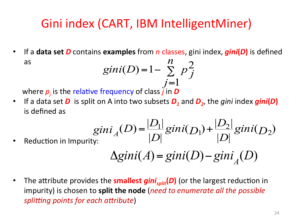## Gini index (CART, IBM IntelligentMiner)

• If a data set D contains examples from n classes, gini index, *gini*(D) is defined as 

$$
gini(D) = 1 - \sum_{j=1}^{n} p_j^2
$$

where  $\boldsymbol{p}_j$  is the relative frequency of class  $\ddot{j}$  in  $\boldsymbol{D}$ 

• If a data set **D** is split on A into two subsets **D**<sub>1</sub> and **D**<sub>2</sub>, the gini index **gini(D)** is defined as

$$
giniA(D) = \frac{|D_1|}{|D|}gini(D_1) + \frac{|D_2|}{|D|}gini(D_2)
$$

Reduction in Importity: 
$$
|D|
$$

$$
\Delta gini(A) = gini(D) - gini_A(D)
$$

• The attribute provides the **smallest** *gini<sub>split</sub>***(D)** (or the largest reduction in impurity) is chosen to split the node (need to enumerate all the possible *splitting points for each attribute*)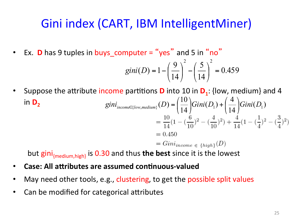## Gini index (CART, IBM IntelligentMiner)

• Ex. **D** has 9 tuples in buys\_computer = "yes" and 5 in "no"

$$
gini(D) = 1 - \left(\frac{9}{14}\right)^2 - \left(\frac{5}{14}\right)^2 = 0.459
$$

• Suppose the attribute income partitions **D** into 10 in **D**<sub>1</sub>: {low, medium} and 4 in D<sub>2</sub>  $gini_{income\in\{low,medium\}}(D) = \left(\frac{10}{14}\right)Gini(D_{1}) + \left(\frac{4}{14}\right)Gini(D_{1})$ ⎠  $\left(\frac{4}{14}\right)$ ⎝  $\Big| Gini(D_1) + \Big|$  $\frac{1}{2}$  $\left(\frac{10}{14}\right)$ ⎝  $\sqrt{2}$  $_{\in \{low, medium\}}(D)$  =

$$
= 0.450
$$
  
=  $Gini_{income \in \{high\}}(D)$   
or  $\phi$ 

but gini<sub>{medium,high}</sub> is 0.30 and thus the best since it is the lowest

- **Case: All attributes are assumed continuous-valued**
- May need other tools, e.g., clustering, to get the possible split values
- Can be modified for categorical attributes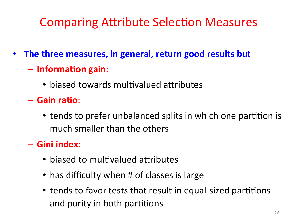## **Comparing Attribute Selection Measures**

- The three measures, in general, return good results but
	- $-$  **Information gain:** 
		- biased towards multivalued attributes
	- $-$  Gain ratio:
		- tends to prefer unbalanced splits in which one partition is much smaller than the others
	- $-$  Gini index:
		- $\bullet$  biased to multivalued attributes
		- has difficulty when # of classes is large
		- tends to favor tests that result in equal-sized partitions and purity in both partitions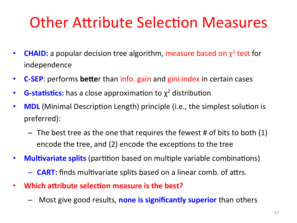## **Other Attribute Selection Measures**

- **CHAID:** a popular decision tree algorithm, measure based on  $\chi^2$  test for independence
- **C-SEP**: performs **bette**r than info. gain and gini index in certain cases
- **G-statistics:** has a close approximation to  $\chi^2$  distribution
- **MDL** (Minimal Description Length) principle (i.e., the simplest solution is preferred):
	- $-$  The best tree as the one that requires the fewest # of bits to both (1) encode the tree, and (2) encode the exceptions to the tree
- **Multivariate splits** (partition based on multiple variable combinations)
	- $-$  **CART:** finds multivariate splits based on a linear comb. of attrs.
- Which attribute selection measure is the best?
	- Most give good results, none is significantly superior than others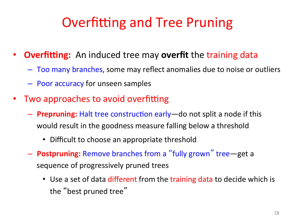## **Overfitting and Tree Pruning**

- **Overfitting:** An induced tree may **overfit** the training data
	- Too many branches, some may reflect anomalies due to noise or outliers
	- Poor accuracy for unseen samples
- Two approaches to avoid overfitting
	- $-$  **Prepruning:** Halt tree construction early—do not split a node if this would result in the goodness measure falling below a threshold
		- Difficult to choose an appropriate threshold
	- $-$  **Postpruning:** Remove branches from a "fully grown" tree—get a sequence of progressively pruned trees
		- Use a set of data different from the training data to decide which is the "best pruned tree"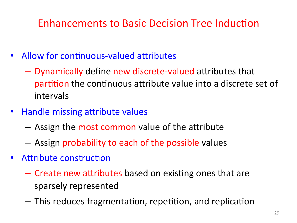#### Enhancements to Basic Decision Tree Induction

- Allow for continuous-valued attributes
	- $-$  Dynamically define new discrete-valued attributes that partition the continuous attribute value into a discrete set of intervals
- Handle missing attribute values
	- $-$  Assign the most common value of the attribute
	- Assign probability to each of the possible values
- Attribute construction
	- $-$  Create new attributes based on existing ones that are sparsely represented
	- $-$  This reduces fragmentation, repetition, and replication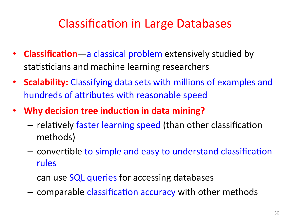## **Classification in Large Databases**

- **Classification**—a classical problem extensively studied by statisticians and machine learning researchers
- **Scalability:** Classifying data sets with millions of examples and hundreds of attributes with reasonable speed
- Why decision tree induction in data mining?
	- $-$  relatively faster learning speed (than other classification methods)
	- $-$  convertible to simple and easy to understand classification rules
	- can use SQL queries for accessing databases
	- comparable classification accuracy with other methods